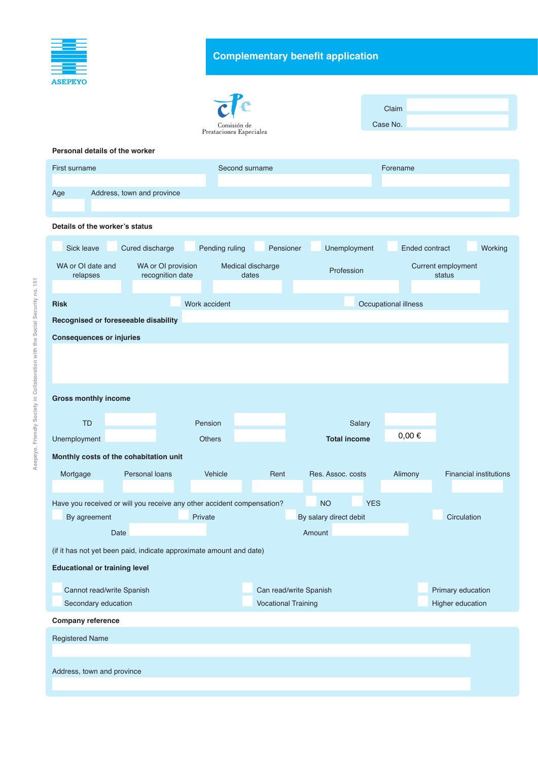

## **Complementary benefit application**

|                                                                        |                                        |                                        |                            | Claim                   |                       |                               |  |
|------------------------------------------------------------------------|----------------------------------------|----------------------------------------|----------------------------|-------------------------|-----------------------|-------------------------------|--|
|                                                                        |                                        | Comisión de<br>Prestaciones Especiales |                            |                         | Case No.              |                               |  |
| Personal details of the worker                                         |                                        |                                        |                            |                         |                       |                               |  |
|                                                                        |                                        |                                        |                            |                         |                       |                               |  |
| First surname                                                          |                                        | Second surname                         |                            |                         | Forename              |                               |  |
| Age                                                                    | Address, town and province             |                                        |                            |                         |                       |                               |  |
| Details of the worker's status                                         |                                        |                                        |                            |                         |                       |                               |  |
| Sick leave                                                             | Cured discharge                        | Pending ruling                         | Pensioner                  | Unemployment            | <b>Ended contract</b> | Working                       |  |
| WA or OI date and<br>relapses                                          | WA or OI provision<br>recognition date | Medical discharge<br>dates             |                            | Profession              |                       | Current employment<br>status  |  |
|                                                                        |                                        |                                        |                            |                         |                       |                               |  |
| <b>Risk</b>                                                            |                                        | Work accident                          |                            |                         | Occupational illness  |                               |  |
| Recognised or foreseeable disability                                   |                                        |                                        |                            |                         |                       |                               |  |
| <b>Consequences or injuries</b>                                        |                                        |                                        |                            |                         |                       |                               |  |
|                                                                        |                                        |                                        |                            |                         |                       |                               |  |
|                                                                        |                                        |                                        |                            |                         |                       |                               |  |
|                                                                        |                                        |                                        |                            |                         |                       |                               |  |
| <b>Gross monthly income</b>                                            |                                        |                                        |                            |                         |                       |                               |  |
| <b>TD</b>                                                              |                                        | Pension                                |                            | Salary                  |                       |                               |  |
| Unemployment                                                           |                                        | <b>Others</b>                          |                            | <b>Total income</b>     | $0,00 \in$            |                               |  |
| Monthly costs of the cohabitation unit                                 |                                        |                                        |                            |                         |                       |                               |  |
| Mortgage                                                               | Personal loans                         | Vehicle                                | Rent                       | Res. Assoc. costs       | Alimony               | <b>Financial institutions</b> |  |
|                                                                        |                                        |                                        |                            |                         |                       |                               |  |
| Have you received or will you receive any other accident compensation? |                                        |                                        |                            | <b>YES</b><br><b>NO</b> |                       |                               |  |
| By agreement                                                           |                                        | Private                                |                            | By salary direct debit  |                       | Circulation                   |  |
| Date                                                                   |                                        |                                        |                            | Amount                  |                       |                               |  |
| (if it has not yet been paid, indicate approximate amount and date)    |                                        |                                        |                            |                         |                       |                               |  |
| <b>Educational or training level</b>                                   |                                        |                                        |                            |                         |                       |                               |  |
| Cannot read/write Spanish                                              |                                        |                                        | Can read/write Spanish     |                         |                       | Primary education             |  |
| Secondary education                                                    |                                        |                                        | <b>Vocational Training</b> |                         |                       | Higher education              |  |
| <b>Company reference</b>                                               |                                        |                                        |                            |                         |                       |                               |  |
| <b>Registered Name</b>                                                 |                                        |                                        |                            |                         |                       |                               |  |
|                                                                        |                                        |                                        |                            |                         |                       |                               |  |
|                                                                        |                                        |                                        |                            |                         |                       |                               |  |
| Address, town and province                                             |                                        |                                        |                            |                         |                       |                               |  |
|                                                                        |                                        |                                        |                            |                         |                       |                               |  |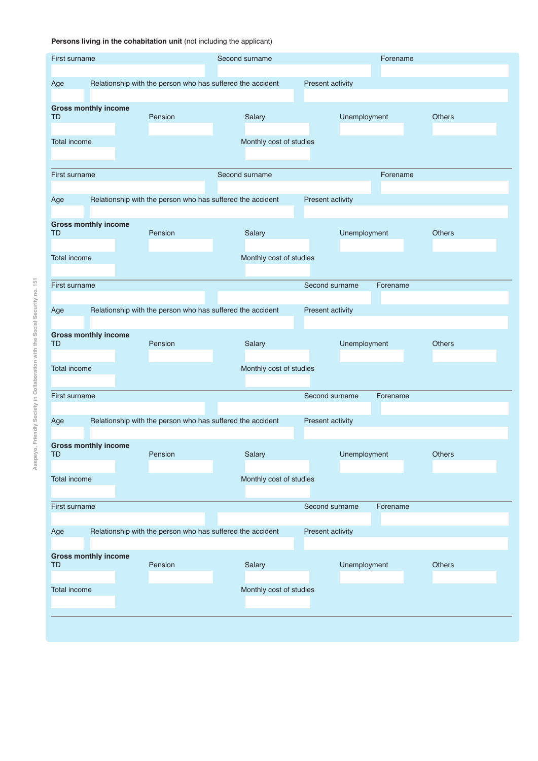## Persons living in the cohabitation unit (not including the applicant)

| <b>First surname</b>                                                                  |  |                                                                                | Second surname                                             |  |                         | Forename         |              |          |               |  |
|---------------------------------------------------------------------------------------|--|--------------------------------------------------------------------------------|------------------------------------------------------------|--|-------------------------|------------------|--------------|----------|---------------|--|
| Age                                                                                   |  | Relationship with the person who has suffered the accident                     |                                                            |  |                         | Present activity |              |          |               |  |
| <b>Gross monthly income</b><br>TD                                                     |  |                                                                                | Pension                                                    |  | Salary                  |                  | Unemployment |          | <b>Others</b> |  |
| Total income<br>Monthly cost of studies                                               |  |                                                                                |                                                            |  |                         |                  |              |          |               |  |
| First surname                                                                         |  |                                                                                |                                                            |  | Second surname          |                  |              | Forename |               |  |
| Age                                                                                   |  | Relationship with the person who has suffered the accident                     |                                                            |  |                         | Present activity |              |          |               |  |
| <b>Gross monthly income</b><br><b>TD</b>                                              |  |                                                                                | Pension                                                    |  | Salary                  |                  | Unemployment |          | <b>Others</b> |  |
| Total income<br>Monthly cost of studies                                               |  |                                                                                |                                                            |  |                         |                  |              |          |               |  |
| First surname                                                                         |  |                                                                                |                                                            |  |                         | Second surname   |              | Forename |               |  |
| Relationship with the person who has suffered the accident<br>Present activity<br>Age |  |                                                                                |                                                            |  |                         |                  |              |          |               |  |
| <b>Gross monthly income</b><br>TD                                                     |  |                                                                                | Pension                                                    |  | Salary                  |                  | Unemployment |          | <b>Others</b> |  |
| <b>Total income</b>                                                                   |  |                                                                                |                                                            |  | Monthly cost of studies |                  |              |          |               |  |
| First surname                                                                         |  |                                                                                |                                                            |  |                         | Second surname   |              | Forename |               |  |
| Age                                                                                   |  | Relationship with the person who has suffered the accident<br>Present activity |                                                            |  |                         |                  |              |          |               |  |
| <b>Gross monthly income</b><br><b>TD</b>                                              |  |                                                                                | Pension                                                    |  | Salary                  |                  | Unemployment |          | Others        |  |
| Total income                                                                          |  |                                                                                |                                                            |  | Monthly cost of studies |                  |              |          |               |  |
| First surname                                                                         |  |                                                                                |                                                            |  |                         | Second surname   |              | Forename |               |  |
| Age                                                                                   |  |                                                                                | Relationship with the person who has suffered the accident |  |                         | Present activity |              |          |               |  |
| <b>Gross monthly income</b><br><b>TD</b>                                              |  |                                                                                | Pension                                                    |  | Salary                  |                  | Unemployment |          | Others        |  |
| Total income                                                                          |  |                                                                                |                                                            |  | Monthly cost of studies |                  |              |          |               |  |
|                                                                                       |  |                                                                                |                                                            |  |                         |                  |              |          |               |  |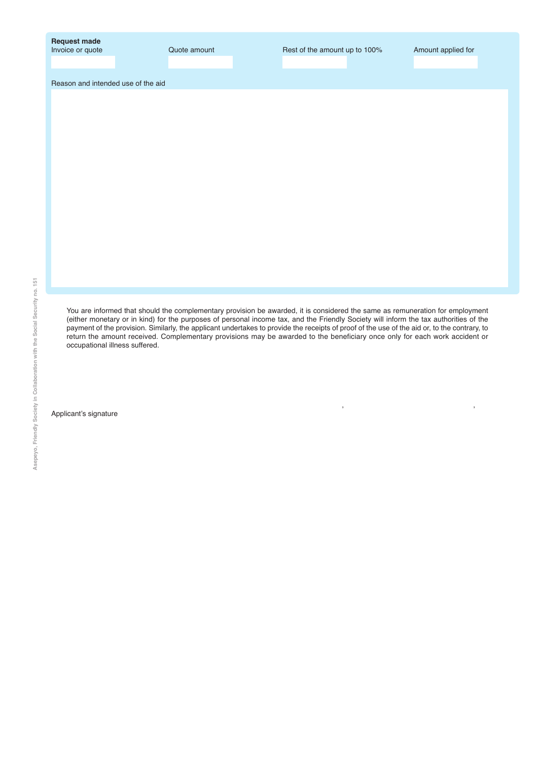| <b>Request made</b> |  |
|---------------------|--|
| Invoice or quote    |  |

Invoke amount **Invoke amount Cuote amount Cuote amount up to 100%** Amount applied for

, ,

Reason and intended use of the aid

You are informed that should the complementary provision be awarded, it is considered the same as remuneration for employment (either monetary or in kind) for the purposes of personal income tax, and the Friendly Society will inform the tax authorities of the payment of the provision. Similarly, the applicant undertakes to provide the receipts of proof of the use of the aid or, to the contrary, to return the amount received. Complementary provisions may be awarded to the beneficiary once only for each work accident or occupational illness suffered.

Applicant's signature